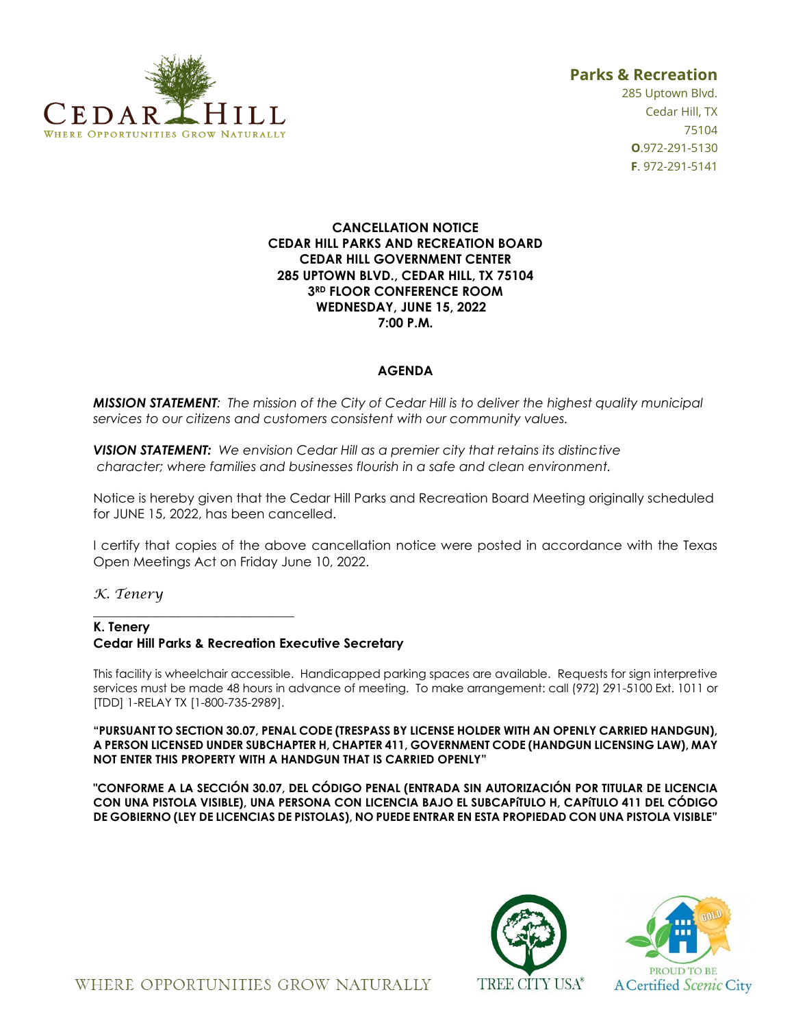

# **Parks & Recreation**

285 Uptown Blvd. Cedar Hill, TX 75104 **O**.972-291-5130 **F**. 972-291-5141

### **CANCELLATION NOTICE CEDAR HILL PARKS AND RECREATION BOARD CEDAR HILL GOVERNMENT CENTER 285 UPTOWN BLVD., CEDAR HILL, TX 75104 3RD FLOOR CONFERENCE ROOM WEDNESDAY, JUNE 15, 2022 7:00 P.M.**

## **AGENDA**

*MISSION STATEMENT: The mission of the City of Cedar Hill is to deliver the highest quality municipal services to our citizens and customers consistent with our community values.*

*VISION STATEMENT: We envision Cedar Hill as a premier city that retains its distinctive character; where families and businesses flourish in a safe and clean environment.*

Notice is hereby given that the Cedar Hill Parks and Recreation Board Meeting originally scheduled for JUNE 15, 2022, has been cancelled.

I certify that copies of the above cancellation notice were posted in accordance with the Texas Open Meetings Act on Friday June 10, 2022.

*K. Tenery*

#### **K. Tenery Cedar Hill Parks & Recreation Executive Secretary**

\_\_\_\_\_\_\_\_\_\_\_\_\_\_\_\_\_\_\_\_\_\_\_\_\_\_\_\_\_\_\_

This facility is wheelchair accessible. Handicapped parking spaces are available. Requests for sign interpretive services must be made 48 hours in advance of meeting. To make arrangement: call (972) 291-5100 Ext. 1011 or [TDD] 1-RELAY TX [1-800-735-2989].

**"PURSUANT TO SECTION 30.07, PENAL CODE (TRESPASS BY LICENSE HOLDER WITH AN OPENLY CARRIED HANDGUN), A PERSON LICENSED UNDER SUBCHAPTER H, CHAPTER 411, GOVERNMENT CODE (HANDGUN LICENSING LAW), MAY NOT ENTER THIS PROPERTY WITH A HANDGUN THAT IS CARRIED OPENLY"** 

**"CONFORME A LA SECCIÓN 30.07, DEL CÓDIGO PENAL (ENTRADA SIN AUTORIZACIÓN POR TITULAR DE LICENCIA CON UNA PISTOLA VISIBLE), UNA PERSONA CON LICENCIA BAJO EL SUBCAPíTULO H, CAPíTULO 411 DEL CÓDIGO DE GOBIERNO (LEY DE LICENCIAS DE PISTOLAS), NO PUEDE ENTRAR EN ESTA PROPIEDAD CON UNA PISTOLA VISIBLE"**